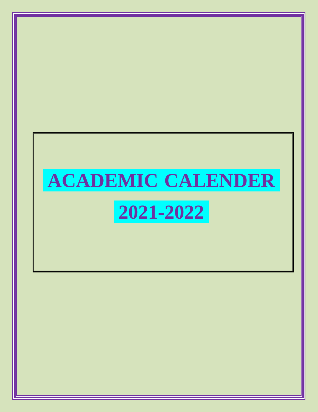# **ACADEMIC CALENDER**

### **2021-2022**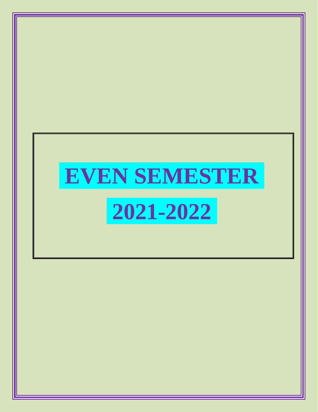## **EVEN SEMESTER 2021-2022**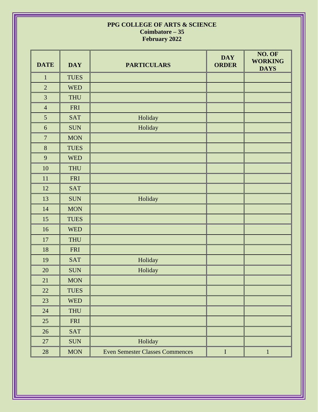#### **PPG COLLEGE OF ARTS & SCIENCE Coimbatore – 35 February 2022**

| <b>DATE</b>      | <b>DAY</b>  | <b>PARTICULARS</b>                     | <b>DAY</b><br><b>ORDER</b> | NO. OF<br><b>WORKING</b><br><b>DAYS</b> |
|------------------|-------------|----------------------------------------|----------------------------|-----------------------------------------|
| $\mathbf{1}$     | <b>TUES</b> |                                        |                            |                                         |
| $\overline{2}$   | <b>WED</b>  |                                        |                            |                                         |
| 3                | <b>THU</b>  |                                        |                            |                                         |
| $\overline{4}$   | <b>FRI</b>  |                                        |                            |                                         |
| $\mathfrak{S}$   | <b>SAT</b>  | Holiday                                |                            |                                         |
| 6                | <b>SUN</b>  | Holiday                                |                            |                                         |
| $\boldsymbol{7}$ | <b>MON</b>  |                                        |                            |                                         |
| $\,8\,$          | <b>TUES</b> |                                        |                            |                                         |
| 9                | <b>WED</b>  |                                        |                            |                                         |
| 10               | THU         |                                        |                            |                                         |
| 11               | <b>FRI</b>  |                                        |                            |                                         |
| 12               | <b>SAT</b>  |                                        |                            |                                         |
| 13               | <b>SUN</b>  | Holiday                                |                            |                                         |
| 14               | <b>MON</b>  |                                        |                            |                                         |
| 15               | <b>TUES</b> |                                        |                            |                                         |
| 16               | <b>WED</b>  |                                        |                            |                                         |
| 17               | <b>THU</b>  |                                        |                            |                                         |
| 18               | FRI         |                                        |                            |                                         |
| 19               | <b>SAT</b>  | Holiday                                |                            |                                         |
| 20               | <b>SUN</b>  | Holiday                                |                            |                                         |
| 21               | <b>MON</b>  |                                        |                            |                                         |
| 22               | <b>TUES</b> |                                        |                            |                                         |
| 23               | <b>WED</b>  |                                        |                            |                                         |
| 24               | <b>THU</b>  |                                        |                            |                                         |
| 25               | FRI         |                                        |                            |                                         |
| $26\,$           | <b>SAT</b>  |                                        |                            |                                         |
| $27\,$           | <b>SUN</b>  | Holiday                                |                            |                                         |
| $28\,$           | <b>MON</b>  | <b>Even Semester Classes Commences</b> | $\bf I$                    | $\mathbf{1}$                            |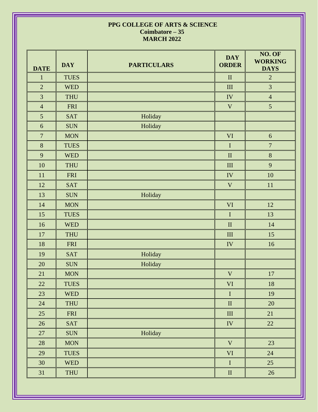#### **PPG COLLEGE OF ARTS & SCIENCE Coimbatore – 35 MARCH 2022**

| <b>DATE</b>     | <b>DAY</b>  | <b>PARTICULARS</b> | <b>DAY</b><br><b>ORDER</b> | NO. OF<br><b>WORKING</b><br><b>DAYS</b> |
|-----------------|-------------|--------------------|----------------------------|-----------------------------------------|
| $\mathbf{1}$    | <b>TUES</b> |                    | $\rm II$                   | $\overline{2}$                          |
| $\overline{2}$  | <b>WED</b>  |                    | III                        | 3                                       |
| 3               | THU         |                    | IV                         | $\overline{4}$                          |
| $\overline{4}$  | <b>FRI</b>  |                    | $\mathbf V$                | 5                                       |
| $5\overline{)}$ | <b>SAT</b>  | Holiday            |                            |                                         |
| $\sqrt{6}$      | <b>SUN</b>  | Holiday            |                            |                                         |
| $\overline{7}$  | <b>MON</b>  |                    | $\mathbf{VI}$              | 6                                       |
| 8               | <b>TUES</b> |                    | $\bf I$                    | $\overline{7}$                          |
| 9               | <b>WED</b>  |                    | $\rm II$                   | 8                                       |
| 10              | THU         |                    | $\rm III$                  | 9                                       |
| $11\,$          | <b>FRI</b>  |                    | ${\rm IV}$                 | 10                                      |
| 12              | <b>SAT</b>  |                    | $\mathbf V$                | $11\,$                                  |
| 13              | <b>SUN</b>  | Holiday            |                            |                                         |
| $14\,$          | <b>MON</b>  |                    | $\mathbf{VI}$              | 12                                      |
| 15              | <b>TUES</b> |                    | $\rm I$                    | 13                                      |
| 16              | <b>WED</b>  |                    | $\rm II$                   | 14                                      |
| 17              | <b>THU</b>  |                    | III                        | 15                                      |
| 18              | <b>FRI</b>  |                    | ${\rm IV}$                 | 16                                      |
| 19              | <b>SAT</b>  | Holiday            |                            |                                         |
| $20\,$          | <b>SUN</b>  | Holiday            |                            |                                         |
| 21              | <b>MON</b>  |                    | $\mathbf V$                | $17\,$                                  |
| 22              | <b>TUES</b> |                    | $\mbox{VI}$                | $18\,$                                  |
| 23              | <b>WED</b>  |                    | $\mathbf I$                | 19                                      |
| 24              | <b>THU</b>  |                    | $\rm II$                   | 20                                      |
| 25              | <b>FRI</b>  |                    | $\rm III$                  | 21                                      |
| 26              | SAT         |                    | ${\rm IV}$                 | 22                                      |
| $27\,$          | <b>SUN</b>  | Holiday            |                            |                                         |
| 28              | <b>MON</b>  |                    | $\mathbf V$                | 23                                      |
| 29              | <b>TUES</b> |                    | VI                         | 24                                      |
| 30              | <b>WED</b>  |                    | $\rm I$                    | 25                                      |
| 31              | THU         |                    | $\rm II$                   | 26                                      |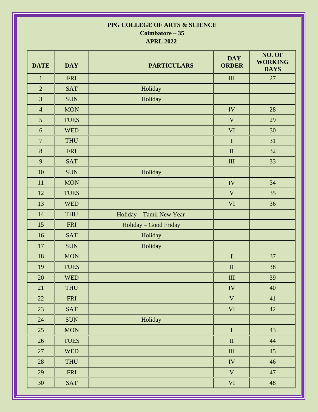#### **PPG COLLEGE OF ARTS & SCIENCE Coimbatore – 35**

**APRL 2022**

| <b>DATE</b>      | <b>DAY</b>  | <b>PARTICULARS</b>       | <b>DAY</b><br><b>ORDER</b>  | NO. OF<br><b>WORKING</b><br><b>DAYS</b> |
|------------------|-------------|--------------------------|-----------------------------|-----------------------------------------|
| $\mathbf{1}$     | <b>FRI</b>  |                          | $\mathop{\rm III}\nolimits$ | 27                                      |
| $\overline{2}$   | <b>SAT</b>  | Holiday                  |                             |                                         |
| $\overline{3}$   | <b>SUN</b>  | Holiday                  |                             |                                         |
| $\overline{4}$   | <b>MON</b>  |                          | IV                          | 28                                      |
| 5                | <b>TUES</b> |                          | $\mathbf V$                 | 29                                      |
| $\boldsymbol{6}$ | <b>WED</b>  |                          | VI                          | 30                                      |
| $\overline{7}$   | <b>THU</b>  |                          | $\rm I$                     | 31                                      |
| $\bf 8$          | <b>FRI</b>  |                          | $\rm II$                    | 32                                      |
| 9                | <b>SAT</b>  |                          | $\rm III$                   | 33                                      |
| 10               | <b>SUN</b>  | Holiday                  |                             |                                         |
| 11               | <b>MON</b>  |                          | IV                          | 34                                      |
| 12               | <b>TUES</b> |                          | V                           | 35                                      |
| 13               | <b>WED</b>  |                          | $\mathbf{VI}$               | 36                                      |
| 14               | <b>THU</b>  | Holiday - Tamil New Year |                             |                                         |
| 15               | <b>FRI</b>  | Holiday - Good Friday    |                             |                                         |
| 16               | <b>SAT</b>  | Holiday                  |                             |                                         |
| 17               | <b>SUN</b>  | Holiday                  |                             |                                         |
| 18               | <b>MON</b>  |                          | $\bf I$                     | 37                                      |
| 19               | <b>TUES</b> |                          | $\mathbf{I}$                | 38                                      |
| 20               | <b>WED</b>  |                          | III                         | 39                                      |
| 21               | <b>THU</b>  |                          | IV                          | 40                                      |
| 22               | <b>FRI</b>  |                          | $\mathbf V$                 | 41                                      |
| 23               | SAT         |                          | <b>VI</b>                   | 42                                      |
| 24               | <b>SUN</b>  | Holiday                  |                             |                                         |
| 25               | <b>MON</b>  |                          | $\mathbf I$                 | 43                                      |
| 26               | <b>TUES</b> |                          | $\rm II$                    | $44$                                    |
| 27               | <b>WED</b>  |                          | $\rm III$                   | 45                                      |
| 28               | THU         |                          | IV                          | 46                                      |
| 29               | FRI         |                          | $\mathbf V$                 | 47                                      |
| 30               | <b>SAT</b>  |                          | VI                          | 48                                      |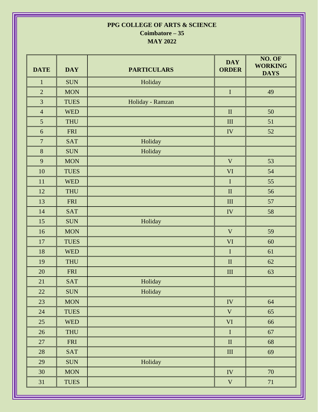#### **PPG COLLEGE OF ARTS & SCIENCE Coimbatore – 35 MAY 2022**

| <b>DATE</b>      | <b>DAY</b>  | <b>PARTICULARS</b> | <b>DAY</b><br><b>ORDER</b>  | NO. OF<br><b>WORKING</b><br><b>DAYS</b> |
|------------------|-------------|--------------------|-----------------------------|-----------------------------------------|
| $\mathbf{1}$     | <b>SUN</b>  | Holiday            |                             |                                         |
| $\overline{2}$   | <b>MON</b>  |                    | $\rm I$                     | 49                                      |
| 3                | <b>TUES</b> | Holiday - Ramzan   |                             |                                         |
| $\overline{4}$   | <b>WED</b>  |                    | $\mathbf{I}$                | 50                                      |
| 5                | <b>THU</b>  |                    | $\mathop{\rm III}\nolimits$ | 51                                      |
| 6                | <b>FRI</b>  |                    | ${\rm IV}$                  | 52                                      |
| $\boldsymbol{7}$ | <b>SAT</b>  | Holiday            |                             |                                         |
| 8                | <b>SUN</b>  | Holiday            |                             |                                         |
| 9                | <b>MON</b>  |                    | $\mathbf{V}$                | 53                                      |
| 10               | <b>TUES</b> |                    | VI                          | 54                                      |
| 11               | <b>WED</b>  |                    | $\rm I$                     | 55                                      |
| 12               | <b>THU</b>  |                    | $\mathbf{I}$                | 56                                      |
| 13               | <b>FRI</b>  |                    | $\mathop{\rm III}\nolimits$ | 57                                      |
| 14               | <b>SAT</b>  |                    | IV                          | 58                                      |
| 15               | <b>SUN</b>  | Holiday            |                             |                                         |
| 16               | <b>MON</b>  |                    | $\mathbf V$                 | 59                                      |
| $17\,$           | <b>TUES</b> |                    | VI                          | 60                                      |
| 18               | <b>WED</b>  |                    | $\bf I$                     | 61                                      |
| 19               | <b>THU</b>  |                    | $\mathbf{I}$                | 62                                      |
| 20               | <b>FRI</b>  |                    | $\rm III$                   | 63                                      |
| 21               | <b>SAT</b>  | Holiday            |                             |                                         |
| 22               | <b>SUN</b>  | Holiday            |                             |                                         |
| 23               | <b>MON</b>  |                    | IV                          | 64                                      |
| 24               | <b>TUES</b> |                    | $\mathbf V$                 | 65                                      |
| 25               | <b>WED</b>  |                    | VI                          | 66                                      |
| 26               | <b>THU</b>  |                    | $\rm I$                     | 67                                      |
| 27               | <b>FRI</b>  |                    | $\rm II$                    | 68                                      |
| 28               | <b>SAT</b>  |                    | $\rm III$                   | 69                                      |
| 29               | <b>SUN</b>  | Holiday            |                             |                                         |
| 30               | <b>MON</b>  |                    | IV                          | 70                                      |
| 31               | <b>TUES</b> |                    | $\mathbf V$                 | 71                                      |